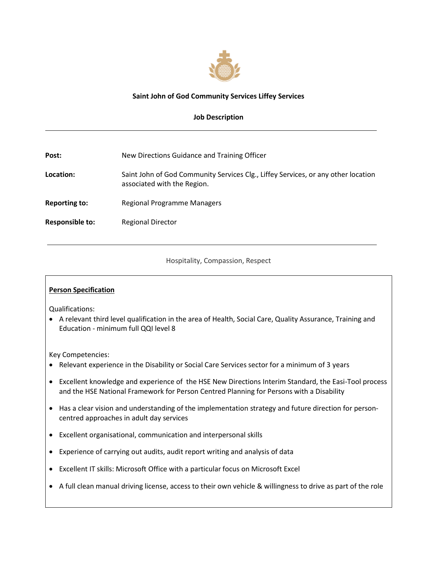

# **Saint John of God Community Services Liffey Services**

## **Job Description**

| Post:                | New Directions Guidance and Training Officer                                                                     |
|----------------------|------------------------------------------------------------------------------------------------------------------|
| Location:            | Saint John of God Community Services Clg., Liffey Services, or any other location<br>associated with the Region. |
| <b>Reporting to:</b> | Regional Programme Managers                                                                                      |
| Responsible to:      | <b>Regional Director</b>                                                                                         |

Hospitality, Compassion, Respect

#### **Person Specification**

Qualifications:

 A relevant third level qualification in the area of Health, Social Care, Quality Assurance, Training and Education - minimum full QQI level 8

Key Competencies:

- Relevant experience in the Disability or Social Care Services sector for a minimum of 3 years
- Excellent knowledge and experience of the HSE New Directions Interim Standard, the Easi-Tool process and the HSE National Framework for Person Centred Planning for Persons with a Disability
- Has a clear vision and understanding of the implementation strategy and future direction for personcentred approaches in adult day services
- Excellent organisational, communication and interpersonal skills
- Experience of carrying out audits, audit report writing and analysis of data
- Excellent IT skills: Microsoft Office with a particular focus on Microsoft Excel
- A full clean manual driving license, access to their own vehicle & willingness to drive as part of the role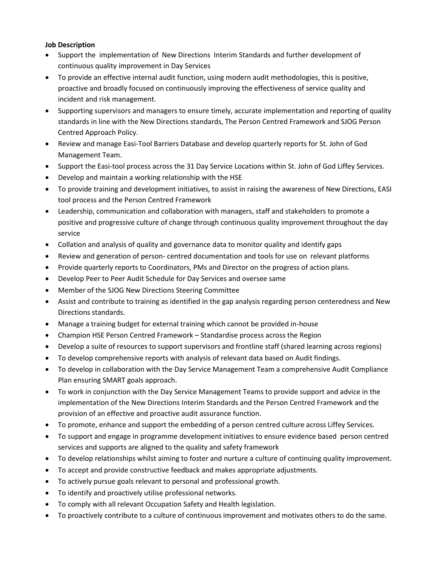### **Job Description**

- Support the implementation of New Directions Interim Standards and further development of continuous quality improvement in Day Services
- To provide an effective internal audit function, using modern audit methodologies, this is positive, proactive and broadly focused on continuously improving the effectiveness of service quality and incident and risk management.
- Supporting supervisors and managers to ensure timely, accurate implementation and reporting of quality standards in line with the New Directions standards, The Person Centred Framework and SJOG Person Centred Approach Policy.
- Review and manage Easi-Tool Barriers Database and develop quarterly reports for St. John of God Management Team.
- Support the Easi-tool process across the 31 Day Service Locations within St. John of God Liffey Services.
- Develop and maintain a working relationship with the HSE
- To provide training and development initiatives, to assist in raising the awareness of New Directions, EASI tool process and the Person Centred Framework
- Leadership, communication and collaboration with managers, staff and stakeholders to promote a positive and progressive culture of change through continuous quality improvement throughout the day service
- Collation and analysis of quality and governance data to monitor quality and identify gaps
- Review and generation of person- centred documentation and tools for use on relevant platforms
- Provide quarterly reports to Coordinators, PMs and Director on the progress of action plans.
- Develop Peer to Peer Audit Schedule for Day Services and oversee same
- Member of the SJOG New Directions Steering Committee
- Assist and contribute to training as identified in the gap analysis regarding person centeredness and New Directions standards.
- Manage a training budget for external training which cannot be provided in-house
- Champion HSE Person Centred Framework Standardise process across the Region
- Develop a suite of resources to support supervisors and frontline staff (shared learning across regions)
- To develop comprehensive reports with analysis of relevant data based on Audit findings.
- To develop in collaboration with the Day Service Management Team a comprehensive Audit Compliance Plan ensuring SMART goals approach.
- To work in conjunction with the Day Service Management Teams to provide support and advice in the implementation of the New Directions Interim Standards and the Person Centred Framework and the provision of an effective and proactive audit assurance function.
- To promote, enhance and support the embedding of a person centred culture across Liffey Services.
- To support and engage in programme development initiatives to ensure evidence based person centred services and supports are aligned to the quality and safety framework
- To develop relationships whilst aiming to foster and nurture a culture of continuing quality improvement.
- To accept and provide constructive feedback and makes appropriate adjustments.
- To actively pursue goals relevant to personal and professional growth.
- To identify and proactively utilise professional networks.
- To comply with all relevant Occupation Safety and Health legislation.
- To proactively contribute to a culture of continuous improvement and motivates others to do the same.